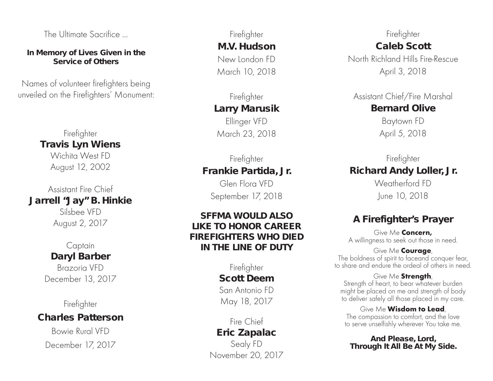The Ultimate Sacrifice ...

#### **In Memory of Lives Given in the Service of Others**

Names of volunteer firefighters being unveiled on the Firefighters' Monument:

#### Firefighter **Travis Lyn Wiens** Wichita West FD August 12, 2002

Assistant Fire Chief **Jarrell "Jay" B. Hinkie** Silsbee VFD August 2, 2017

## Captain **Daryl Barber**

Brazoria VFD December 13, 2017

Firefighter

## **Charles Patterson**

Bowie Rural VFD December 17, 2017

Firefighter **M.V. Hudson** New London FD March 10, 2018

## Firefighter **Larry Marusik** Ellinger VFD

March 23, 2018

## Firefighter **Frankie Partida, Jr.**

Glen Flora VFD September 17, 2018

#### **SFFMA WOULD ALSO LIKE TO HONOR CAREER FIREFIGHTERS WHO DIED IN THE LINE OF DUTY**

Firefighter **Scott Deem** San Antonio FD May 18, 2017

#### Fire Chief **Eric Zapalac**

Sealy FD November 20, 2017

#### Firefighter **Caleb Scott**

North Richland Hills Fire-Rescue April 3, 2018

Assistant Chief/Fire Marshal **Bernard Olive**

> Baytown FD April 5, 2018

### Firefighter **Richard Andy Loller, Jr.**  Weatherford FD

June 10, 2018

## **A Firefighter's Prayer**

Give Me Concern, A willingness to seek out those in need.

#### Give Me **Courage**, The boldness of spirit to faceand conquer fear, to share and endure the ordeal of others in need.

Give Me Strength, Strength of heart, to bear whatever burden might be placed on me and strength of body to deliver safely all those placed in my care.

Give Me **Wisdom to Lead**,<br>The compassion to comfort, and the love to serve unselfishly wherever You take me.

#### **And Please, Lord, Through It All Be At My Side.**